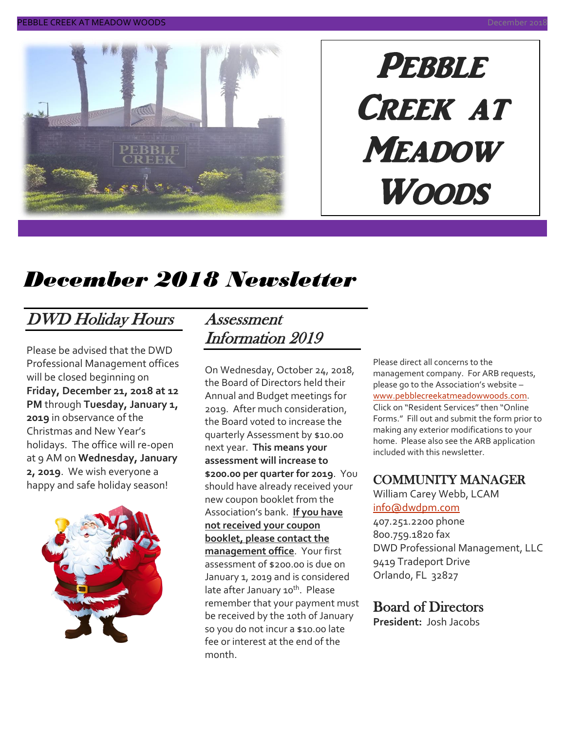

# PEBBLE CREEK AT **MEADOW** Woods

# *December 2018 Newsletter*

### DWD Holiday Hours

Please be advised that the DWD Professional Management offices will be closed beginning on **Friday, December 21, 2018 at 12 PM** through **Tuesday, January 1, 2019** in observance of the Christmas and New Year's holidays. The office will re-open at 9 AM on **Wednesday, January 2, 2019**. We wish everyone a happy and safe holiday season!



#### Assessment Information 2019

On Wednesday, October 24, 2018, the Board of Directors held their Annual and Budget meetings for 2019. After much consideration, the Board voted to increase the quarterly Assessment by \$10.00 next year. **This means your assessment will increase to \$200.00 per quarter for 2019**. You should have already received your new coupon booklet from the Association's bank. **If you have not received your coupon booklet, please contact the management office**. Your first assessment of \$200.00 is due on January 1, 2019 and is considered late after January 10<sup>th</sup>. Please remember that your payment must be received by the 10th of January so you do not incur a \$10.00 late fee or interest at the end of the month.

Please direct all concerns to the management company. For ARB requests, please go to the Association's website – [www.pebblecreekatmeadowwoods.com.](http://www.pebblecreekatmeadowwoods.com/) Click on "Resident Services" then "Online Forms." Fill out and submit the form prior to making any exterior modifications to your home. Please also see the ARB application included with this newsletter.

#### COMMUNITY MANAGER

William Carey Webb, LCAM [info@dwdpm.com](mailto:info@dwdpm.com)  407.251.2200 phone 800.759.1820 fax DWD Professional Management, LLC 9419 Tradeport Drive Orlando, FL 32827

#### Board of Directors

**President:** Josh Jacobs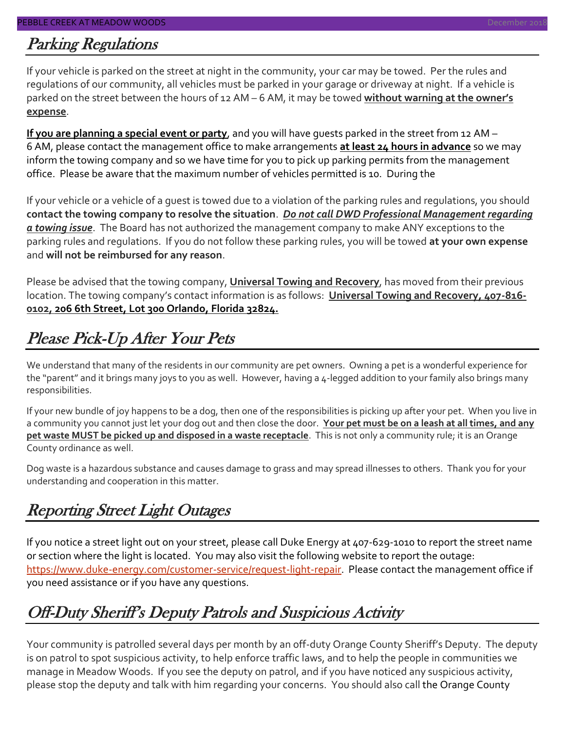### Parking Regulations

If your vehicle is parked on the street at night in the community, your car may be towed. Per the rules and regulations of our community, all vehicles must be parked in your garage or driveway at night. If a vehicle is parked on the street between the hours of 12 AM – 6 AM, it may be towed **without warning at the owner's expense**.

**If you are planning a special event or party**, and you will have guests parked in the street from 12 AM – 6 AM, please contact the management office to make arrangements **at least 24 hours in advance** so we may inform the towing company and so we have time for you to pick up parking permits from the management office. Please be aware that the maximum number of vehicles permitted is 10. During the

If your vehicle or a vehicle of a guest is towed due to a violation of the parking rules and regulations, you should **contact the towing company to resolve the situation**. *Do not call DWD Professional Management regarding a towing issue*. The Board has not authorized the management company to make ANY exceptions to the parking rules and regulations. If you do not follow these parking rules, you will be towed **at your own expense** and **will not be reimbursed for any reason**.

Please be advised that the towing company, **Universal Towing and Recovery**, has moved from their previous location. The towing company's contact information is as follows: **Universal Towing and Recovery, 407-816- 0102, 206 6th Street, Lot 300 Orlando, Florida 32824.**

## Please Pick-Up After Your Pets

We understand that many of the residents in our community are pet owners. Owning a pet is a wonderful experience for the "parent" and it brings many joys to you as well. However, having a 4-legged addition to your family also brings many responsibilities.

If your new bundle of joy happens to be a dog, then one of the responsibilities is picking up after your pet. When you live in a community you cannot just let your dog out and then close the door. **Your pet must be on a leash at all times, and any pet waste MUST be picked up and disposed in a waste receptacle**. This is not only a community rule; it is an Orange County ordinance as well.

Dog waste is a hazardous substance and causes damage to grass and may spread illnesses to others. Thank you for your understanding and cooperation in this matter.

### Reporting Street Light Outages

If you notice a street light out on your street, please call Duke Energy at 407-629-1010 to report the street name or section where the light is located. You may also visit the following website to report the outage: [https://www.duke-energy.com/customer-service/request-light-repair.](https://www.duke-energy.com/customer-service/request-light-repair) Please contact the management office if you need assistance or if you have any questions.

### Off-Duty Sheriff's Deputy Patrols and Suspicious Activity

Your community is patrolled several days per month by an off-duty Orange County Sheriff's Deputy. The deputy is on patrol to spot suspicious activity, to help enforce traffic laws, and to help the people in communities we manage in Meadow Woods. If you see the deputy on patrol, and if you have noticed any suspicious activity, please stop the deputy and talk with him regarding your concerns. You should also call the Orange County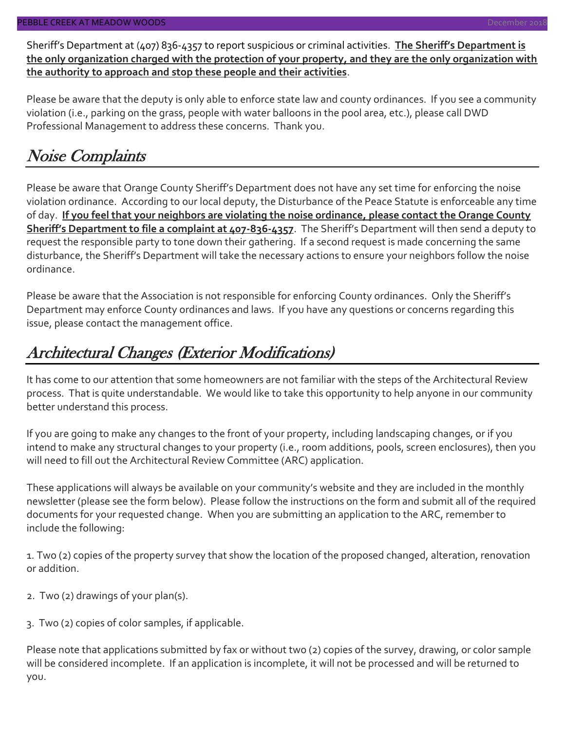Sheriff's Department at (407) 836-4357 to report suspicious or criminal activities. **The Sheriff's Department is the only organization charged with the protection of your property, and they are the only organization with the authority to approach and stop these people and their activities**.

Please be aware that the deputy is only able to enforce state law and county ordinances. If you see a community violation (i.e., parking on the grass, people with water balloons in the pool area, etc.), please call DWD Professional Management to address these concerns. Thank you.

### Noise Complaints

Please be aware that Orange County Sheriff's Department does not have any set time for enforcing the noise violation ordinance. According to our local deputy, the Disturbance of the Peace Statute is enforceable any time of day. **If you feel that your neighbors are violating the noise ordinance, please contact the Orange County Sheriff's Department to file a complaint at 407-836-4357**. The Sheriff's Department will then send a deputy to request the responsible party to tone down their gathering. If a second request is made concerning the same disturbance, the Sheriff's Department will take the necessary actions to ensure your neighbors follow the noise ordinance.

Please be aware that the Association is not responsible for enforcing County ordinances. Only the Sheriff's Department may enforce County ordinances and laws. If you have any questions or concerns regarding this issue, please contact the management office.

### Architectural Changes (Exterior Modifications)

It has come to our attention that some homeowners are not familiar with the steps of the Architectural Review process. That is quite understandable. We would like to take this opportunity to help anyone in our community better understand this process.

If you are going to make any changes to the front of your property, including landscaping changes, or if you intend to make any structural changes to your property (i.e., room additions, pools, screen enclosures), then you will need to fill out the Architectural Review Committee (ARC) application.

These applications will always be available on your community's website and they are included in the monthly newsletter (please see the form below). Please follow the instructions on the form and submit all of the required documents for your requested change. When you are submitting an application to the ARC, remember to include the following:

1. Two (2) copies of the property survey that show the location of the proposed changed, alteration, renovation or addition.

- 2. Two (2) drawings of your plan(s).
- 3. Two (2) copies of color samples, if applicable.

Please note that applications submitted by fax or without two (2) copies of the survey, drawing, or color sample will be considered incomplete. If an application is incomplete, it will not be processed and will be returned to you.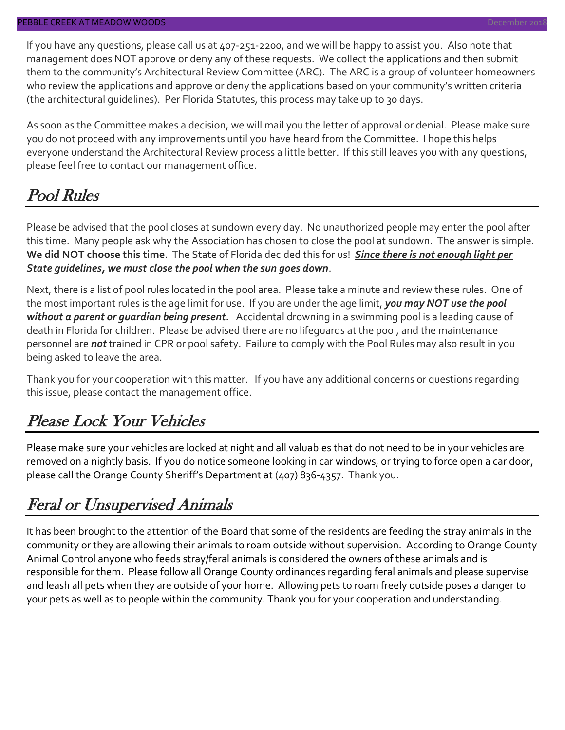If you have any questions, please call us at 407-251-2200, and we will be happy to assist you. Also note that management does NOT approve or deny any of these requests. We collect the applications and then submit them to the community's Architectural Review Committee (ARC). The ARC is a group of volunteer homeowners who review the applications and approve or deny the applications based on your community's written criteria (the architectural guidelines). Per Florida Statutes, this process may take up to 30 days.

As soon as the Committee makes a decision, we will mail you the letter of approval or denial. Please make sure you do not proceed with any improvements until you have heard from the Committee. I hope this helps everyone understand the Architectural Review process a little better. If this still leaves you with any questions, please feel free to contact our management office.

### Pool Rules

Please be advised that the pool closes at sundown every day. No unauthorized people may enter the pool after this time. Many people ask why the Association has chosen to close the pool at sundown. The answer is simple. **We did NOT choose this time**. The State of Florida decided this for us! *Since there is not enough light per State guidelines, we must close the pool when the sun goes down*.

Next, there is a list of pool rules located in the pool area. Please take a minute and review these rules. One of the most important rules is the age limit for use. If you are under the age limit, *you may NOT use the pool without a parent or guardian being present.* Accidental drowning in a swimming pool is a leading cause of death in Florida for children. Please be advised there are no lifeguards at the pool, and the maintenance personnel are *not* trained in CPR or pool safety. Failure to comply with the Pool Rules may also result in you being asked to leave the area.

Thank you for your cooperation with this matter. If you have any additional concerns or questions regarding this issue, please contact the management office.

### Please Lock Your Vehicles

Please make sure your vehicles are locked at night and all valuables that do not need to be in your vehicles are removed on a nightly basis. If you do notice someone looking in car windows, or trying to force open a car door, please call the Orange County Sheriff's Department at (407) 836-4357. Thank you.

### Feral or Unsupervised Animals

It has been brought to the attention of the Board that some of the residents are feeding the stray animals in the community or they are allowing their animals to roam outside without supervision. According to Orange County Animal Control anyone who feeds stray/feral animals is considered the owners of these animals and is responsible for them. Please follow all Orange County ordinances regarding feral animals and please supervise and leash all pets when they are outside of your home. Allowing pets to roam freely outside poses a danger to your pets as well as to people within the community. Thank you for your cooperation and understanding.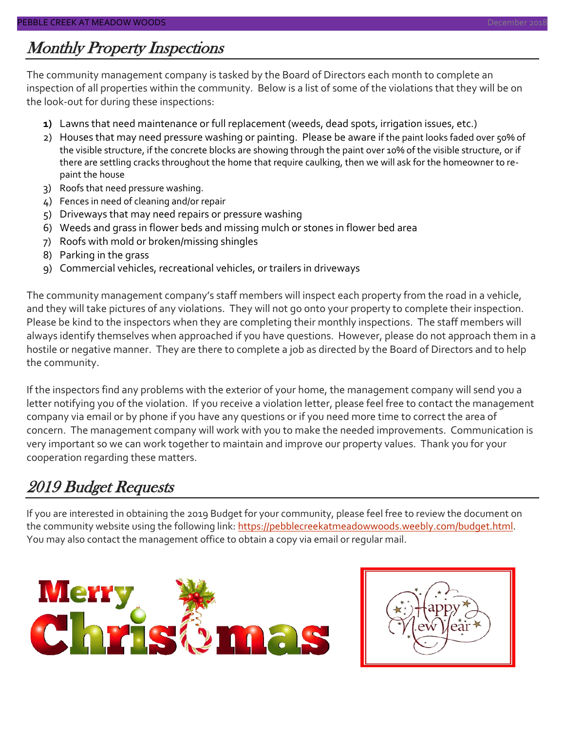### Monthly Property Inspections

The community management company is tasked by the Board of Directors each month to complete an inspection of all properties within the community. Below is a list of some of the violations that they will be on the look-out for during these inspections:

- **1)** Lawns that need maintenance or full replacement (weeds, dead spots, irrigation issues, etc.)
- 2) Houses that may need pressure washing or painting. Please be aware if the paint looks faded over 50% of the visible structure, if the concrete blocks are showing through the paint over 10% of the visible structure, or if there are settling cracks throughout the home that require caulking, then we will ask for the homeowner to repaint the house
- 3) Roofs that need pressure washing.
- 4) Fences in need of cleaning and/or repair
- 5) Driveways that may need repairs or pressure washing
- 6) Weeds and grass in flower beds and missing mulch or stones in flower bed area
- 7) Roofs with mold or broken/missing shingles
- 8) Parking in the grass
- 9) Commercial vehicles, recreational vehicles, or trailers in driveways

The community management company's staff members will inspect each property from the road in a vehicle, and they will take pictures of any violations. They will not go onto your property to complete their inspection. Please be kind to the inspectors when they are completing their monthly inspections. The staff members will always identify themselves when approached if you have questions. However, please do not approach them in a hostile or negative manner. They are there to complete a job as directed by the Board of Directors and to help the community.

If the inspectors find any problems with the exterior of your home, the management company will send you a letter notifying you of the violation. If you receive a violation letter, please feel free to contact the management company via email or by phone if you have any questions or if you need more time to correct the area of concern. The management company will work with you to make the needed improvements. Communication is very important so we can work together to maintain and improve our property values. Thank you for your cooperation regarding these matters.

### 2019 Budget Requests

If you are interested in obtaining the 2019 Budget for your community, please feel free to review the document on the community website using the following link: [https://pebblecreekatmeadowwoods.weebly.com/budget.html.](https://pebblecreekatmeadowwoods.weebly.com/budget.html) You may also contact the management office to obtain a copy via email or regular mail.



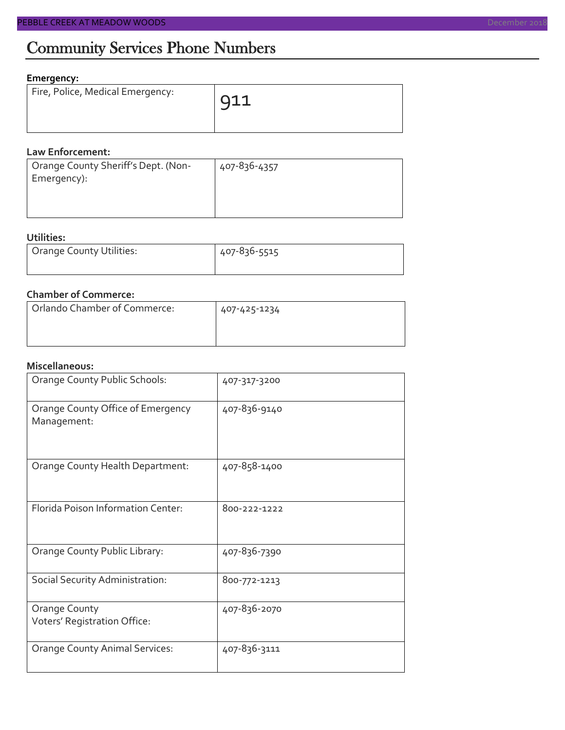#### **Emergency:**

| Fire, Police, Medical Emergency: | 911 |
|----------------------------------|-----|
|                                  |     |

#### **Law Enforcement:**

| Orange County Sheriff's Dept. (Non- | 407-836-4357 |
|-------------------------------------|--------------|
| Emergency):                         |              |
|                                     |              |
|                                     |              |

#### **Utilities:**

| Orange County Utilities: | 407-836-5515 |  |  |
|--------------------------|--------------|--|--|
|                          |              |  |  |

#### **Chamber of Commerce:**

| Orlando Chamber of Commerce: | 407-425-1234 |
|------------------------------|--------------|
|                              |              |

#### **Miscellaneous:**

| Orange County Public Schools:                    | 407-317-3200 |
|--------------------------------------------------|--------------|
| Orange County Office of Emergency<br>Management: | 407-836-9140 |
| Orange County Health Department:                 | 407-858-1400 |
| Florida Poison Information Center:               | 800-222-1222 |
| Orange County Public Library:                    | 407-836-7390 |
| Social Security Administration:                  | 800-772-1213 |
| Orange County<br>Voters' Registration Office:    | 407-836-2070 |
| <b>Orange County Animal Services:</b>            | 407-836-3111 |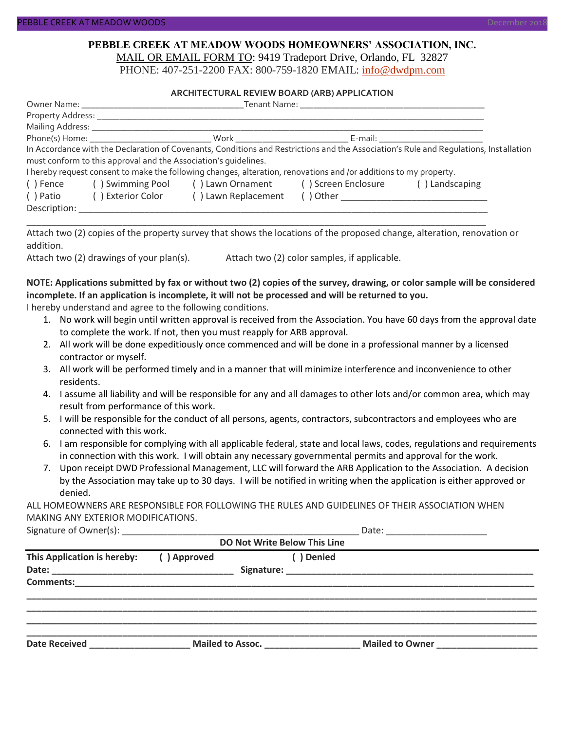#### **PEBBLE CREEK AT MEADOW WOODS HOMEOWNERS' ASSOCIATION, INC.** MAIL OR EMAIL FORM TO: 9419 Tradeport Drive, Orlando, FL 32827

PHONE: 407-251-2200 FAX: 800-759-1820 EMAIL: [info@dwdpm.com](mailto:info@dwdpm.com)

#### **ARCHITECTURAL REVIEW BOARD (ARB) APPLICATION**

|                                                                    |                                                                 | Tenant Name: The contract of the contract of the contract of the contract of the contract of the contract of the contract of the contract of the contract of the contract of the contract of the contract of the contract of t |  |                                                                                                                                                                                                                                |  |  |
|--------------------------------------------------------------------|-----------------------------------------------------------------|--------------------------------------------------------------------------------------------------------------------------------------------------------------------------------------------------------------------------------|--|--------------------------------------------------------------------------------------------------------------------------------------------------------------------------------------------------------------------------------|--|--|
|                                                                    |                                                                 |                                                                                                                                                                                                                                |  |                                                                                                                                                                                                                                |  |  |
|                                                                    | Mailing Address: _____________                                  |                                                                                                                                                                                                                                |  |                                                                                                                                                                                                                                |  |  |
|                                                                    |                                                                 |                                                                                                                                                                                                                                |  | E-mail: E-mail: E-mail: E-mail: E-mail: E-mail: E-mail: E-mail: E-mail: E-mail: E-mail: E-mail: E-mail: E-mail: E-mail: E-mail: E-mail: E-mail: E-mail: E-mail: E-mail: E-mail: E-mail: E-mail: E-mail: E-mail: E-mail: E-mail |  |  |
|                                                                    |                                                                 |                                                                                                                                                                                                                                |  | In Accordance with the Declaration of Covenants, Conditions and Restrictions and the Association's Rule and Requlations, Installation                                                                                          |  |  |
|                                                                    | must conform to this approval and the Association's quidelines. |                                                                                                                                                                                                                                |  |                                                                                                                                                                                                                                |  |  |
|                                                                    |                                                                 | I hereby request consent to make the following changes, alteration, renovations and /or additions to my property.                                                                                                              |  |                                                                                                                                                                                                                                |  |  |
| () Swimming Pool () Lawn Ornament () Screen Enclosure<br>( ) Fence |                                                                 |                                                                                                                                                                                                                                |  | () Landscaping                                                                                                                                                                                                                 |  |  |
| () Patio                                                           | () Lawn Replacement<br>( ) Exterior Color                       |                                                                                                                                                                                                                                |  |                                                                                                                                                                                                                                |  |  |
| Description:                                                       |                                                                 |                                                                                                                                                                                                                                |  |                                                                                                                                                                                                                                |  |  |

Attach two (2) copies of the property survey that shows the locations of the proposed change, alteration, renovation or addition.

\_\_\_\_\_\_\_\_\_\_\_\_\_\_\_\_\_\_\_\_\_\_\_\_\_\_\_\_\_\_\_\_\_\_\_\_\_\_\_\_\_\_\_\_\_\_\_\_\_\_\_\_\_\_\_\_\_\_\_\_\_\_\_\_\_\_\_\_\_\_\_\_\_\_\_\_\_\_\_\_\_\_\_\_\_\_\_\_\_\_\_

Attach two (2) drawings of your plan(s). Attach two (2) color samples, if applicable.

#### **NOTE: Applications submitted by fax or without two (2) copies of the survey, drawing, or color sample will be considered incomplete. If an application is incomplete, it will not be processed and will be returned to you.**

I hereby understand and agree to the following conditions.

- 1. No work will begin until written approval is received from the Association. You have 60 days from the approval date to complete the work. If not, then you must reapply for ARB approval.
- 2. All work will be done expeditiously once commenced and will be done in a professional manner by a licensed contractor or myself.
- 3. All work will be performed timely and in a manner that will minimize interference and inconvenience to other residents.
- 4. I assume all liability and will be responsible for any and all damages to other lots and/or common area, which may result from performance of this work.
- 5. I will be responsible for the conduct of all persons, agents, contractors, subcontractors and employees who are connected with this work.
- 6. I am responsible for complying with all applicable federal, state and local laws, codes, regulations and requirements in connection with this work. I will obtain any necessary governmental permits and approval for the work.
- 7. Upon receipt DWD Professional Management, LLC will forward the ARB Application to the Association. A decision by the Association may take up to 30 days. I will be notified in writing when the application is either approved or denied.

ALL HOMEOWNERS ARE RESPONSIBLE FOR FOLLOWING THE RULES AND GUIDELINES OF THEIR ASSOCIATION WHEN MAKING ANY EXTERIOR MODIFICATIONS.

Signature of Owner(s):  $\Box$ 

| <b>DO Not Write Below This Line</b> |             |                  |            |                        |  |
|-------------------------------------|-------------|------------------|------------|------------------------|--|
| This Application is hereby:         | () Approved |                  | ( ) Denied |                        |  |
| <b>Comments:</b>                    |             |                  |            |                        |  |
| <b>Date Received</b>                |             | Mailed to Assoc. |            | <b>Mailed to Owner</b> |  |